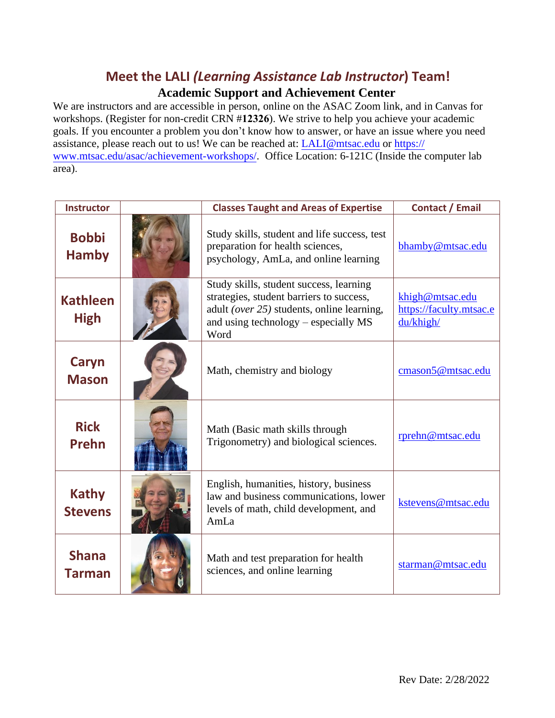## **Meet the LALI** *(Learning Assistance Lab Instructor***) Team!**

#### **Academic Support and Achievement Center**

We are instructors and are accessible in person, online on the ASAC Zoom link, and in Canvas for workshops. (Register for non-credit CRN #**12326**). We strive to help you achieve your academic goals. If you encounter a problem you don't know how to answer, or have an issue where you need [assistance, please reach out to us! We can be reached at:](https://www.mtsac.edu/asac/achievement-workshops/) [LALI@mtsac.ed](file:///C:/Users/kat/Documents/Work/Mt%20SAC/LALI/2020-2021/LALI@mtsac.edu)[u or https://](https://www.mtsac.edu/asac/achievement-workshops/) www.mtsac.edu/asac/achievement-workshops/. Office Location: 6-121C (Inside the computer lab area).

| <b>Instructor</b>              | <b>Classes Taught and Areas of Expertise</b>                                                                                                                                         | <b>Contact / Email</b>                                  |
|--------------------------------|--------------------------------------------------------------------------------------------------------------------------------------------------------------------------------------|---------------------------------------------------------|
| <b>Bobbi</b><br><b>Hamby</b>   | Study skills, student and life success, test<br>preparation for health sciences,<br>psychology, AmLa, and online learning                                                            | bhamby@mtsac.edu                                        |
| <b>Kathleen</b><br><b>High</b> | Study skills, student success, learning<br>strategies, student barriers to success,<br>adult (over $25$ ) students, online learning,<br>and using technology – especially MS<br>Word | khigh@mtsac.edu<br>https://faculty.mtsac.e<br>du/khigh/ |
| Caryn<br><b>Mason</b>          | Math, chemistry and biology                                                                                                                                                          | cmason5@mtsac.edu                                       |
| <b>Rick</b><br><b>Prehn</b>    | Math (Basic math skills through<br>Trigonometry) and biological sciences.                                                                                                            | rprehn@mtsac.edu                                        |
| <b>Kathy</b><br><b>Stevens</b> | English, humanities, history, business<br>law and business communications, lower<br>levels of math, child development, and<br>AmLa                                                   | kstevens@mtsac.edu                                      |
| <b>Shana</b><br>Tarman         | Math and test preparation for health<br>sciences, and online learning                                                                                                                | starman@mtsac.edu                                       |